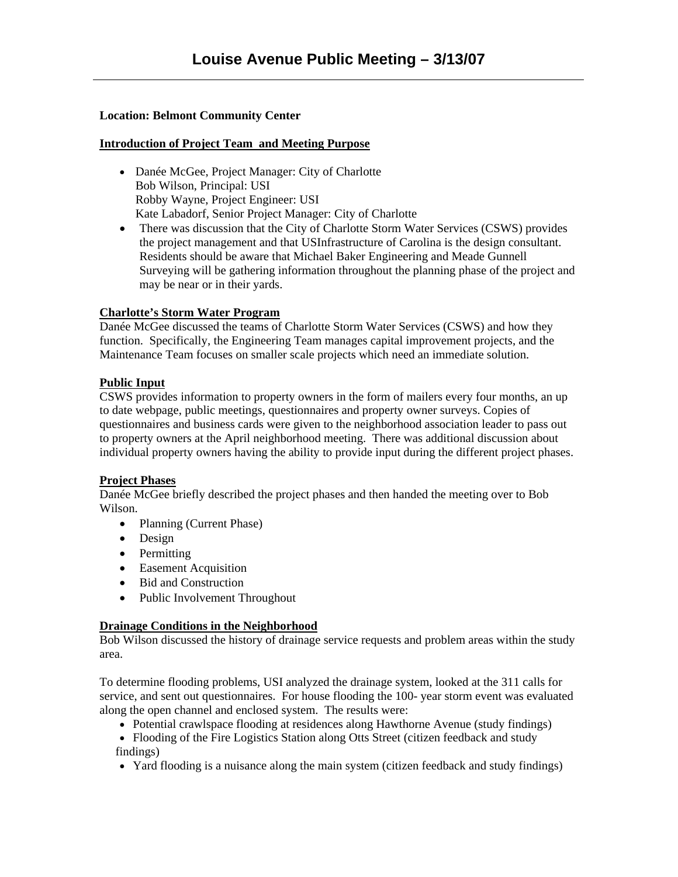# **Location: Belmont Community Center**

### **Introduction of Project Team and Meeting Purpose**

- Danée McGee, Project Manager: City of Charlotte Bob Wilson, Principal: USI Robby Wayne, Project Engineer: USI Kate Labadorf, Senior Project Manager: City of Charlotte
- There was discussion that the City of Charlotte Storm Water Services (CSWS) provides the project management and that USInfrastructure of Carolina is the design consultant. Residents should be aware that Michael Baker Engineering and Meade Gunnell Surveying will be gathering information throughout the planning phase of the project and may be near or in their yards.

## **Charlotte's Storm Water Program**

Danée McGee discussed the teams of Charlotte Storm Water Services (CSWS) and how they function. Specifically, the Engineering Team manages capital improvement projects, and the Maintenance Team focuses on smaller scale projects which need an immediate solution.

## **Public Input**

CSWS provides information to property owners in the form of mailers every four months, an up to date webpage, public meetings, questionnaires and property owner surveys. Copies of questionnaires and business cards were given to the neighborhood association leader to pass out to property owners at the April neighborhood meeting. There was additional discussion about individual property owners having the ability to provide input during the different project phases.

#### **Project Phases**

Danée McGee briefly described the project phases and then handed the meeting over to Bob Wilson.

- Planning (Current Phase)
- Design
- Permitting
- Easement Acquisition
- Bid and Construction
- Public Involvement Throughout

#### **Drainage Conditions in the Neighborhood**

Bob Wilson discussed the history of drainage service requests and problem areas within the study area.

To determine flooding problems, USI analyzed the drainage system, looked at the 311 calls for service, and sent out questionnaires. For house flooding the 100- year storm event was evaluated along the open channel and enclosed system. The results were:

- Potential crawlspace flooding at residences along Hawthorne Avenue (study findings)
- Flooding of the Fire Logistics Station along Otts Street (citizen feedback and study findings)
- Yard flooding is a nuisance along the main system (citizen feedback and study findings)